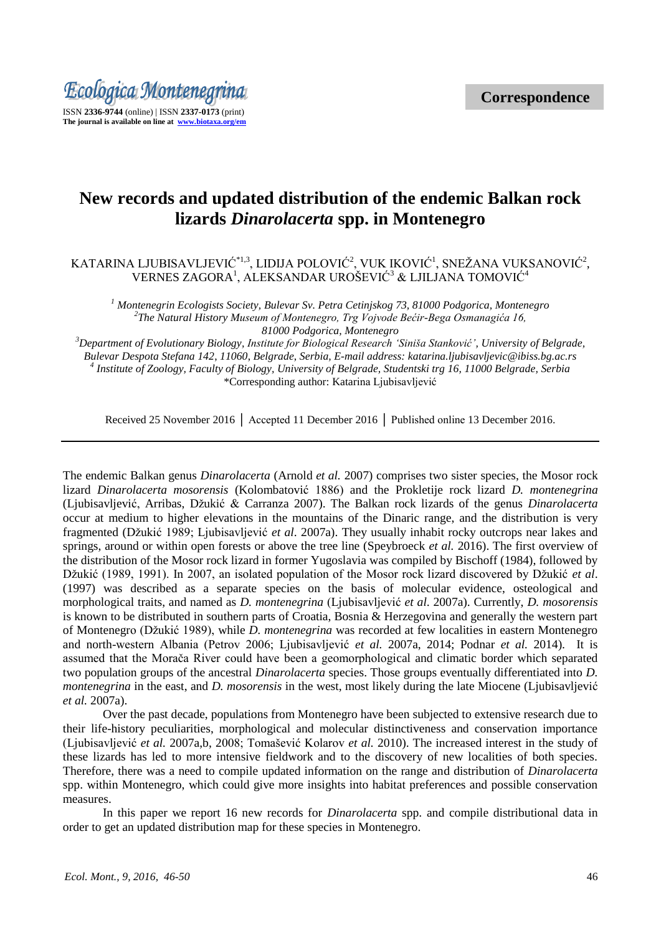

# **New records and updated distribution of the endemic Balkan rock lizards** *Dinarolacerta* **spp. in Montenegro**

# KATARINA LJUBISAVLJEVIĆ\*1,3, LIDIJA POLOVIĆ<sup>2</sup>, VUK IKOVIĆ<sup>1</sup>, SNEŽANA VUKSANOVIĆ<sup>2</sup>, VERNES ZAGORA<sup>1</sup>, ALEKSANDAR UROŠEVIĆ<sup>3</sup> & LJILJANA TOMOVIĆ<sup>4</sup>

*<sup>1</sup> Montenegrin Ecologists Society, Bulevar Sv. Petra Cetinjskog 73, 81000 Podgorica, Montenegro 2 The Natural History Museum of Montenegro, Trg Vojvode Bećir-Bega Osmanagića 16, 81000 Podgorica, Montenegro*

*<sup>3</sup>Department of Evolutionary Biology, Institute for Biological Research "Siniša Stanković", University of Belgrade, Bulevar Despota Stefana 142*, *11060*, *Belgrade*, *Serbia, E-mail address[: katarina.ljubisavljevic@ibiss.bg.ac.rs](mailto:katarina.ljubisavljevic@ibiss.bg.ac.rs) 4 Institute of Zoology, Faculty of Biology, University of Belgrade, Studentski trg 16, 11000 Belgrade, Serbia* \*Corresponding author: Katarina Ljubisavljević

Received 25 November 2016 │ Accepted 11 December 2016 │ Published online 13 December 2016.

The endemic Balkan genus *Dinarolacerta* (Arnold *et al.* 2007) comprises two sister species, the Mosor rock lizard *Dinarolacerta mosorensis* (Kolombatović 1886) and the Prokletije rock lizard *D. montenegrina* (Ljubisavljević, Arribas, Dţukić & Carranza 2007). The Balkan rock lizards of the genus *Dinarolacerta*  occur at medium to higher elevations in the mountains of the Dinaric range, and the distribution is very fragmented (Dţukić 1989; Ljubisavljević *et al*. 2007a). They usually inhabit rocky outcrops near lakes and springs, around or within open forests or above the tree line (Speybroeck *et al.* 2016). The first overview of the distribution of the Mosor rock lizard in former Yugoslavia was compiled by Bischoff (1984), followed by Džukić (1989, 1991). In 2007, an isolated population of the Mosor rock lizard discovered by Džukić et al. (1997) was described as a separate species on the basis of molecular evidence, osteological and morphological traits, and named as *D. montenegrina* (Ljubisavljević *et al*. 2007a). Currently, *D. mosorensis* is known to be distributed in southern parts of Croatia, Bosnia & Herzegovina and generally the western part of Montenegro (Dţukić 1989), while *D. montenegrina* was recorded at few localities in eastern Montenegro and north-western Albania (Petrov 2006; Ljubisavljević *et al.* 2007a, 2014; Podnar *et al.* 2014). It is assumed that the Moraĉa River could have been a geomorphological and climatic border which separated two population groups of the ancestral *Dinarolacerta* species. Those groups eventually differentiated into *D. montenegrina* in the east, and *D. mosorensis* in the west, most likely during the late Miocene (Ljubisavljević *et al.* 2007a).

Over the past decade, populations from Montenegro have been subjected to extensive research due to their life-history peculiarities, morphological and molecular distinctiveness and conservation importance (Ljubisavljević *et al.* 2007a,b, 2008; Tomašević Kolarov *et al.* 2010). The increased interest in the study of these lizards has led to more intensive fieldwork and to the discovery of new localities of both species. Therefore, there was a need to compile updated information on the range and distribution of *Dinarolacerta*  spp. within Montenegro, which could give more insights into habitat preferences and possible conservation measures.

In this paper we report 16 new records for *Dinarolacerta* spp. and compile distributional data in order to get an updated distribution map for these species in Montenegro.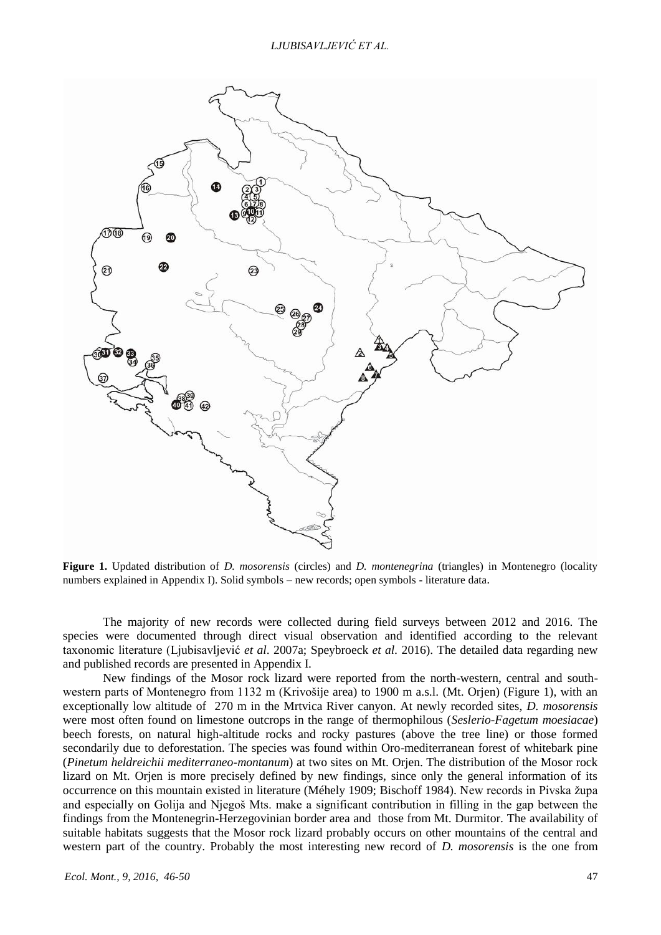

**Figure 1.** Updated distribution of *D. mosorensis* (circles) and *D. montenegrina* (triangles) in Montenegro (locality numbers explained in Appendix I). Solid symbols – new records; open symbols - literature data.

The majority of new records were collected during field surveys between 2012 and 2016. The species were documented through direct visual observation and identified according to the relevant taxonomic literature (Ljubisavljević *et al*. 2007a; Speybroeck *et al.* 2016). The detailed data regarding new and published records are presented in Appendix I.

New findings of the Mosor rock lizard were reported from the north-western, central and southwestern parts of Montenegro from 1132 m (Krivošije area) to 1900 m a.s.l. (Mt. Orjen) (Figure 1), with an exceptionally low altitude of 270 m in the Mrtvica River canyon. At newly recorded sites, *D. mosorensis* were most often found on limestone outcrops in the range of thermophilous (*Seslerio-Fagetum moesiacae*) beech forests, on natural high-altitude rocks and rocky pastures (above the tree line) or those formed secondarily due to deforestation. The species was found within Oro-mediterranean forest of whitebark pine (*Pinetum heldreichii mediterraneo-montanum*) at two sites on Mt. Orjen. The distribution of the Mosor rock lizard on Mt. Orjen is more precisely defined by new findings, since only the general information of its occurrence on this mountain existed in literature (Méhely 1909; Bischoff 1984). New records in Pivska župa and especially on Golija and Njegoš Mts. make a significant contribution in filling in the gap between the findings from the Montenegrin-Herzegovinian border area and those from Mt. Durmitor. The availability of suitable habitats suggests that the Mosor rock lizard probably occurs on other mountains of the central and western part of the country. Probably the most interesting new record of *D. mosorensis* is the one from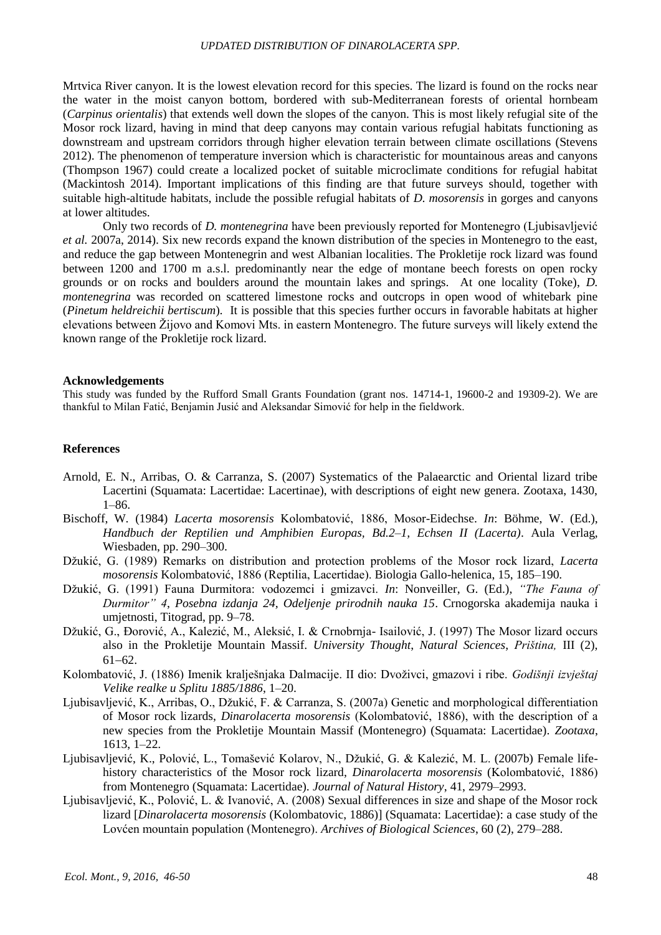#### *UPDATED DISTRIBUTION OF DINAROLACERTA SPP.*

Mrtvica River canyon. It is the lowest elevation record for this species. The lizard is found on the rocks near the water in the moist canyon bottom, bordered with sub-Mediterranean forests of oriental hornbeam (*Carpinus orientalis*) that extends well down the slopes of the canyon. This is most likely refugial site of the Mosor rock lizard, having in mind that deep canyons may contain various refugial habitats functioning as downstream and upstream corridors through higher elevation terrain between climate oscillations (Stevens 2012). The phenomenon of temperature inversion which is characteristic for mountainous areas and canyons (Thompson 1967) could create a localized pocket of suitable microclimate conditions for refugial habitat (Mackintosh 2014). Important implications of this finding are that future surveys should, together with suitable high-altitude habitats, include the possible refugial habitats of *D. mosorensis* in gorges and canyons at lower altitudes.

Only two records of *D. montenegrina* have been previously reported for Montenegro (Ljubisavljević *et al.* 2007a, 2014). Six new records expand the known distribution of the species in Montenegro to the east, and reduce the gap between Montenegrin and west Albanian localities. The Prokletije rock lizard was found between 1200 and 1700 m a.s.l. predominantly near the edge of montane beech forests on open rocky grounds or on rocks and boulders around the mountain lakes and springs. At one locality (Toke), *D. montenegrina* was recorded on scattered limestone rocks and outcrops in open wood of whitebark pine (*Pinetum heldreichii bertiscum*)*.* It is possible that this species further occurs in favorable habitats at higher elevations between Žijovo and Komovi Mts. in eastern Montenegro. The future surveys will likely extend the known range of the Prokletije rock lizard.

#### **Acknowledgements**

This study was funded by the Rufford Small Grants Foundation (grant nos. 14714-1, 19600-2 and 19309-2). We are thankful to Milan Fatić, Benjamin Jusić and Aleksandar Simović for help in the fieldwork.

#### **References**

- Arnold, E. N., Arribas, O. & Carranza, S. (2007) Systematics of the Palaearctic and Oriental lizard tribe Lacertini (Squamata: Lacertidae: Lacertinae), with descriptions of eight new genera. Zootaxa, 1430, 1–86.
- Bischoff, W. (1984) *Lacerta mosorensis* Kolombatović, 1886, Mosor-Eidechse. *In*: Böhme, W. (Ed.), *Handbuch der Reptilien und Amphibien Europas, Bd.2–1, Echsen II (Lacerta)*. Aula Verlag, Wiesbaden, pp. 290–300.
- Džukić, G. (1989) Remarks on distribution and protection problems of the Mosor rock lizard, *Lacerta mosorensis* Kolombatović, 1886 (Reptilia, Lacertidae). Biologia Gallo-helenica, 15, 185–190.
- Džukić, G. (1991) Fauna Durmitora: vodozemci i gmizavci. *In*: Nonveiller, G. (Ed.), "The Fauna of *Durmitor" 4*, *Posebna izdanja 24, Odeljenje prirodnih nauka 15*. Crnogorska akademija nauka i umjetnosti, Titograd, pp. 9–78.
- Džukić, G., Đorović, A., Kalezić, M., Aleksić, I. & Crnobrnja- Isailović, J. (1997) The Mosor lizard occurs also in the Prokletije Mountain Massif. *University Thought*, *Natural Sciences*, *Priština,* III (2),  $61-62.$
- Kolombatović, J. (1886) Imenik kralješnjaka Dalmacije. II dio: Dvoživci, gmazovi i ribe. *Godišnji izvještaj Velike realke u Splitu 1885/1886*, 1–20.
- Ljubisavljević, K., Arribas, O., Džukić, F. & Carranza, S. (2007a) Genetic and morphological differentiation of Mosor rock lizards, *Dinarolacerta mosorensis* (Kolombatović, 1886), with the description of a new species from the Prokletije Mountain Massif (Montenegro) (Squamata: Lacertidae). *Zootaxa*, 1613, 1–22.
- Ljubisavljević, K., Polović, L., Tomašević Kolarov, N., Džukić, G. & Kalezić, M. L. (2007b) Female lifehistory characteristics of the Mosor rock lizard, *Dinarolacerta mosorensis* (Kolombatović, 1886) from Montenegro (Squamata: Lacertidae). *Journal of Natural History*, 41, 2979–2993.
- Ljubisavljević, K., Polović, L. & Ivanović, A. (2008) Sexual differences in size and shape of the Mosor rock lizard [*Dinarolacerta mosorensis* (Kolombatovic, 1886)] (Squamata: Lacertidae): a case study of the Lovćen mountain population (Montenegro). *Archives of Biological Sciences*, 60 (2), 279–288.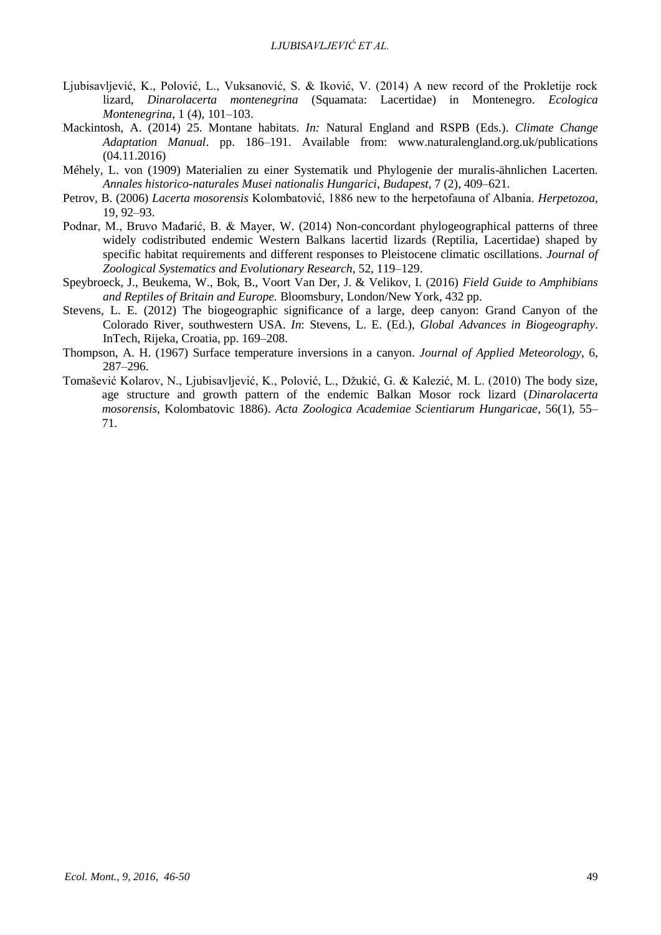- Ljubisavljević, K., Polović, L., Vuksanović, S. & Iković, V. (2014) A new record of the Prokletije rock lizard, *Dinarolacerta montenegrina* (Squamata: Lacertidae) in Montenegro. *Ecologica Montenegrina*, 1 (4), 101–103.
- Mackintosh, A. (2014) 25. Montane habitats. *In:* Natural England and RSPB (Eds.). *Climate Change Adaptation Manual*. pp. 186–191. Available from: www.naturalengland.org.uk/publications (04.11.2016)
- Méhely, L. von (1909) Materialien zu einer Systematik und Phylogenie der muralis-ähnlichen Lacerten. *Annales historico-naturales Musei nationalis Hungarici*, *Budapest*, 7 (2), 409–621.
- Petrov, B. (2006) *Lacerta mosorensis* Kolombatović, 1886 new to the herpetofauna of Albania. *Herpetozoa*, 19, 92–93.
- Podnar, M., Bruvo Mađarić, B. & Mayer, W. (2014) Non-concordant phylogeographical patterns of three widely codistributed endemic Western Balkans lacertid lizards (Reptilia, Lacertidae) shaped by specific habitat requirements and different responses to Pleistocene climatic oscillations. *Journal of Zoological Systematics and Evolutionary Research*, 52, 119–129.
- Speybroeck, J., Beukema, W., Bok, B., Voort Van Der, J. & Velikov, I. (2016) *Field Guide to Amphibians and Reptiles of Britain and Europe.* Bloomsbury, London/New York, 432 pp.
- Stevens, L. E. (2012) The biogeographic significance of a large, deep canyon: Grand Canyon of the Colorado River, southwestern USA. *In*: Stevens, L. E. (Ed.), *Global Advances in Biogeography*. InTech, Rijeka, Croatia, pp. 169–208.
- Thompson, A. H. (1967) Surface temperature inversions in a canyon. *Journal of Applied Meteorology*, 6, 287–296.
- Tomašević Kolarov, N., Ljubisavljević, K., Polović, L., Džukić, G. & Kalezić, M. L. (2010) The body size, age structure and growth pattern of the endemic Balkan Mosor rock lizard (*Dinarolacerta mosorensis*, Kolombatovic 1886). *Acta Zoologica Academiae Scientiarum Hungaricae*, 56(1), 55– 71.